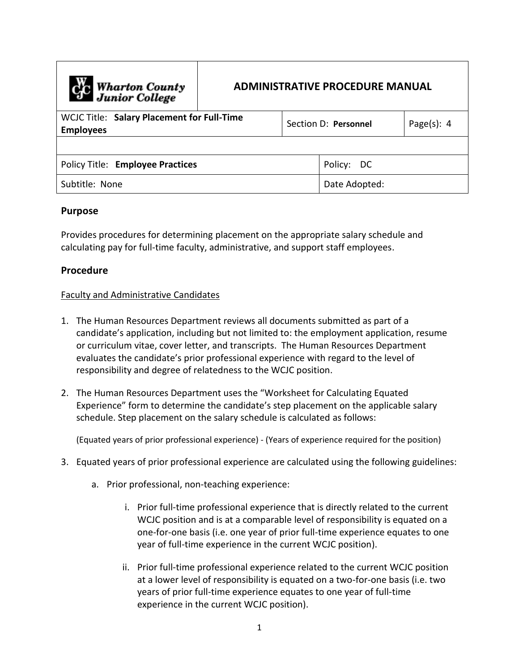| <b>Cre</b> Wharton County<br>Junior College                    | <b>ADMINISTRATIVE PROCEDURE MANUAL</b> |                      |               |                |
|----------------------------------------------------------------|----------------------------------------|----------------------|---------------|----------------|
| WCJC Title: Salary Placement for Full-Time<br><b>Employees</b> |                                        | Section D: Personnel |               | Page $(s)$ : 4 |
|                                                                |                                        |                      |               |                |
| <b>Policy Title: Employee Practices</b>                        |                                        |                      | Policy: DC    |                |
| Subtitle: None                                                 |                                        |                      | Date Adopted: |                |

## **Purpose**

Provides procedures for determining placement on the appropriate salary schedule and calculating pay for full-time faculty, administrative, and support staff employees.

## **Procedure**

## Faculty and Administrative Candidates

- 1. The Human Resources Department reviews all documents submitted as part of a candidate's application, including but not limited to: the employment application, resume or curriculum vitae, cover letter, and transcripts. The Human Resources Department evaluates the candidate's prior professional experience with regard to the level of responsibility and degree of relatedness to the WCJC position.
- 2. The Human Resources Department uses the "Worksheet for Calculating Equated Experience" form to determine the candidate's step placement on the applicable salary schedule. Step placement on the salary schedule is calculated as follows:

(Equated years of prior professional experience) - (Years of experience required for the position)

- 3. Equated years of prior professional experience are calculated using the following guidelines:
	- a. Prior professional, non-teaching experience:
		- i. Prior full-time professional experience that is directly related to the current WCJC position and is at a comparable level of responsibility is equated on a one-for-one basis (i.e. one year of prior full-time experience equates to one year of full-time experience in the current WCJC position).
		- ii. Prior full-time professional experience related to the current WCJC position at a lower level of responsibility is equated on a two-for-one basis (i.e. two years of prior full-time experience equates to one year of full-time experience in the current WCJC position).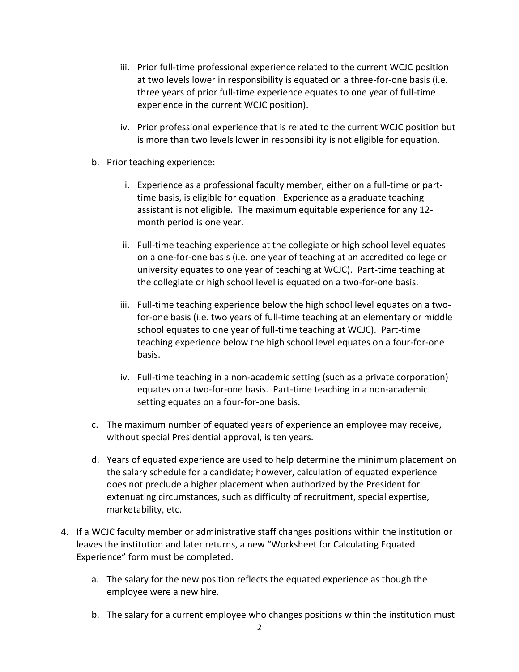- iii. Prior full-time professional experience related to the current WCJC position at two levels lower in responsibility is equated on a three-for-one basis (i.e. three years of prior full-time experience equates to one year of full-time experience in the current WCJC position).
- iv. Prior professional experience that is related to the current WCJC position but is more than two levels lower in responsibility is not eligible for equation.
- b. Prior teaching experience:
	- i. Experience as a professional faculty member, either on a full-time or parttime basis, is eligible for equation. Experience as a graduate teaching assistant is not eligible. The maximum equitable experience for any 12 month period is one year.
	- ii. Full-time teaching experience at the collegiate or high school level equates on a one-for-one basis (i.e. one year of teaching at an accredited college or university equates to one year of teaching at WCJC). Part-time teaching at the collegiate or high school level is equated on a two-for-one basis.
	- iii. Full-time teaching experience below the high school level equates on a twofor-one basis (i.e. two years of full-time teaching at an elementary or middle school equates to one year of full-time teaching at WCJC). Part-time teaching experience below the high school level equates on a four-for-one basis.
	- iv. Full-time teaching in a non-academic setting (such as a private corporation) equates on a two-for-one basis. Part-time teaching in a non-academic setting equates on a four-for-one basis.
- c. The maximum number of equated years of experience an employee may receive, without special Presidential approval, is ten years.
- d. Years of equated experience are used to help determine the minimum placement on the salary schedule for a candidate; however, calculation of equated experience does not preclude a higher placement when authorized by the President for extenuating circumstances, such as difficulty of recruitment, special expertise, marketability, etc.
- 4. If a WCJC faculty member or administrative staff changes positions within the institution or leaves the institution and later returns, a new "Worksheet for Calculating Equated Experience" form must be completed.
	- a. The salary for the new position reflects the equated experience as though the employee were a new hire.
	- b. The salary for a current employee who changes positions within the institution must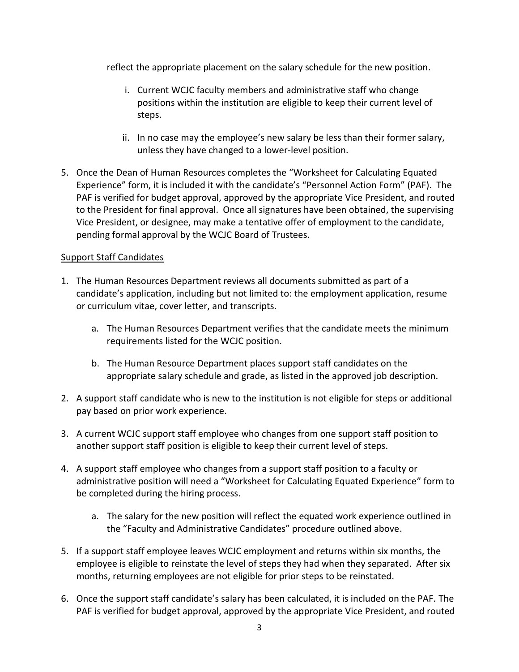reflect the appropriate placement on the salary schedule for the new position.

- i. Current WCJC faculty members and administrative staff who change positions within the institution are eligible to keep their current level of steps.
- ii. In no case may the employee's new salary be less than their former salary, unless they have changed to a lower-level position.
- 5. Once the Dean of Human Resources completes the "Worksheet for Calculating Equated Experience" form, it is included it with the candidate's "Personnel Action Form" (PAF). The PAF is verified for budget approval, approved by the appropriate Vice President, and routed to the President for final approval. Once all signatures have been obtained, the supervising Vice President, or designee, may make a tentative offer of employment to the candidate, pending formal approval by the WCJC Board of Trustees.

## Support Staff Candidates

- 1. The Human Resources Department reviews all documents submitted as part of a candidate's application, including but not limited to: the employment application, resume or curriculum vitae, cover letter, and transcripts.
	- a. The Human Resources Department verifies that the candidate meets the minimum requirements listed for the WCJC position.
	- b. The Human Resource Department places support staff candidates on the appropriate salary schedule and grade, as listed in the approved job description.
- 2. A support staff candidate who is new to the institution is not eligible for steps or additional pay based on prior work experience.
- 3. A current WCJC support staff employee who changes from one support staff position to another support staff position is eligible to keep their current level of steps.
- 4. A support staff employee who changes from a support staff position to a faculty or administrative position will need a "Worksheet for Calculating Equated Experience" form to be completed during the hiring process.
	- a. The salary for the new position will reflect the equated work experience outlined in the "Faculty and Administrative Candidates" procedure outlined above.
- 5. If a support staff employee leaves WCJC employment and returns within six months, the employee is eligible to reinstate the level of steps they had when they separated. After six months, returning employees are not eligible for prior steps to be reinstated.
- 6. Once the support staff candidate's salary has been calculated, it is included on the PAF. The PAF is verified for budget approval, approved by the appropriate Vice President, and routed